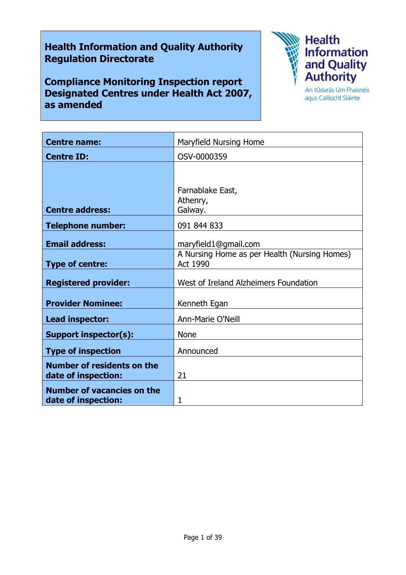# Health Information and Quality Authority Regulation Directorate

Compliance Monitoring Inspection report Designated Centres under Health Act 2007, as amended



agus Cáilíocht Sláinte

| <b>Centre name:</b>                                      | Maryfield Nursing Home                                   |
|----------------------------------------------------------|----------------------------------------------------------|
| <b>Centre ID:</b>                                        | OSV-0000359                                              |
|                                                          |                                                          |
|                                                          | Farnablake East,                                         |
| <b>Centre address:</b>                                   | Athenry,<br>Galway.                                      |
| <b>Telephone number:</b>                                 | 091 844 833                                              |
| <b>Email address:</b>                                    | maryfield1@gmail.com                                     |
| <b>Type of centre:</b>                                   | A Nursing Home as per Health (Nursing Homes)<br>Act 1990 |
| <b>Registered provider:</b>                              | West of Ireland Alzheimers Foundation                    |
| <b>Provider Nominee:</b>                                 | Kenneth Egan                                             |
| Lead inspector:                                          | Ann-Marie O'Neill                                        |
| <b>Support inspector(s):</b>                             | <b>None</b>                                              |
| <b>Type of inspection</b>                                | Announced                                                |
| <b>Number of residents on the</b><br>date of inspection: | 21                                                       |
| <b>Number of vacancies on the</b><br>date of inspection: | 1                                                        |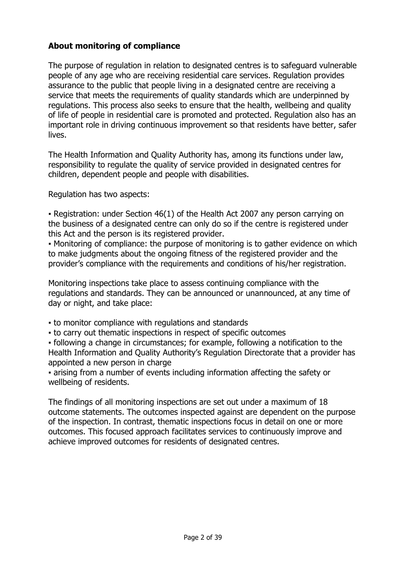# About monitoring of compliance

The purpose of regulation in relation to designated centres is to safeguard vulnerable people of any age who are receiving residential care services. Regulation provides assurance to the public that people living in a designated centre are receiving a service that meets the requirements of quality standards which are underpinned by regulations. This process also seeks to ensure that the health, wellbeing and quality of life of people in residential care is promoted and protected. Regulation also has an important role in driving continuous improvement so that residents have better, safer lives.

The Health Information and Quality Authority has, among its functions under law, responsibility to regulate the quality of service provided in designated centres for children, dependent people and people with disabilities.

Regulation has two aspects:

• Registration: under Section 46(1) of the Health Act 2007 any person carrying on the business of a designated centre can only do so if the centre is registered under this Act and the person is its registered provider.

▪ Monitoring of compliance: the purpose of monitoring is to gather evidence on which to make judgments about the ongoing fitness of the registered provider and the provider's compliance with the requirements and conditions of his/her registration.

Monitoring inspections take place to assess continuing compliance with the regulations and standards. They can be announced or unannounced, at any time of day or night, and take place:

- to monitor compliance with regulations and standards
- to carry out thematic inspections in respect of specific outcomes

▪ following a change in circumstances; for example, following a notification to the Health Information and Quality Authority's Regulation Directorate that a provider has appointed a new person in charge

▪ arising from a number of events including information affecting the safety or wellbeing of residents.

The findings of all monitoring inspections are set out under a maximum of 18 outcome statements. The outcomes inspected against are dependent on the purpose of the inspection. In contrast, thematic inspections focus in detail on one or more outcomes. This focused approach facilitates services to continuously improve and achieve improved outcomes for residents of designated centres.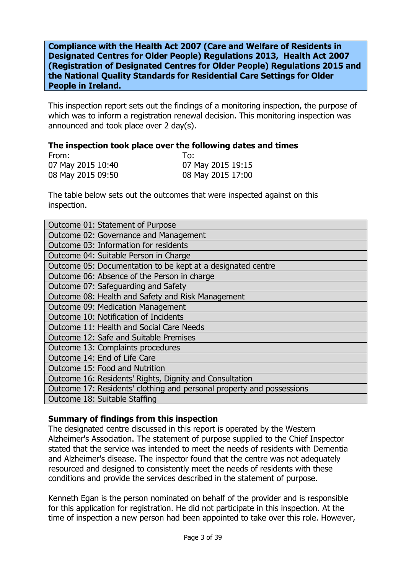Compliance with the Health Act 2007 (Care and Welfare of Residents in Designated Centres for Older People) Regulations 2013, Health Act 2007 (Registration of Designated Centres for Older People) Regulations 2015 and the National Quality Standards for Residential Care Settings for Older People in Ireland.

This inspection report sets out the findings of a monitoring inspection, the purpose of which was to inform a registration renewal decision. This monitoring inspection was announced and took place over 2 day(s).

#### The inspection took place over the following dates and times

| From:             | To:               |
|-------------------|-------------------|
| 07 May 2015 10:40 | 07 May 2015 19:15 |
| 08 May 2015 09:50 | 08 May 2015 17:00 |

The table below sets out the outcomes that were inspected against on this inspection.

| Outcome 01: Statement of Purpose                                      |  |
|-----------------------------------------------------------------------|--|
| Outcome 02: Governance and Management                                 |  |
| Outcome 03: Information for residents                                 |  |
| Outcome 04: Suitable Person in Charge                                 |  |
| Outcome 05: Documentation to be kept at a designated centre           |  |
| Outcome 06: Absence of the Person in charge                           |  |
| Outcome 07: Safeguarding and Safety                                   |  |
| Outcome 08: Health and Safety and Risk Management                     |  |
| Outcome 09: Medication Management                                     |  |
| Outcome 10: Notification of Incidents                                 |  |
| Outcome 11: Health and Social Care Needs                              |  |
| Outcome 12: Safe and Suitable Premises                                |  |
| Outcome 13: Complaints procedures                                     |  |
| Outcome 14: End of Life Care                                          |  |
| Outcome 15: Food and Nutrition                                        |  |
| Outcome 16: Residents' Rights, Dignity and Consultation               |  |
| Outcome 17: Residents' clothing and personal property and possessions |  |
| Outcome 18: Suitable Staffing                                         |  |

## Summary of findings from this inspection

The designated centre discussed in this report is operated by the Western Alzheimer's Association. The statement of purpose supplied to the Chief Inspector stated that the service was intended to meet the needs of residents with Dementia and Alzheimer's disease. The inspector found that the centre was not adequately resourced and designed to consistently meet the needs of residents with these conditions and provide the services described in the statement of purpose.

Kenneth Egan is the person nominated on behalf of the provider and is responsible for this application for registration. He did not participate in this inspection. At the time of inspection a new person had been appointed to take over this role. However,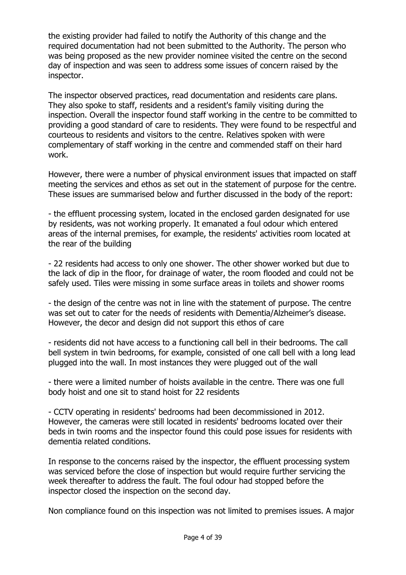the existing provider had failed to notify the Authority of this change and the required documentation had not been submitted to the Authority. The person who was being proposed as the new provider nominee visited the centre on the second day of inspection and was seen to address some issues of concern raised by the inspector.

The inspector observed practices, read documentation and residents care plans. They also spoke to staff, residents and a resident's family visiting during the inspection. Overall the inspector found staff working in the centre to be committed to providing a good standard of care to residents. They were found to be respectful and courteous to residents and visitors to the centre. Relatives spoken with were complementary of staff working in the centre and commended staff on their hard work.

However, there were a number of physical environment issues that impacted on staff meeting the services and ethos as set out in the statement of purpose for the centre. These issues are summarised below and further discussed in the body of the report:

- the effluent processing system, located in the enclosed garden designated for use by residents, was not working properly. It emanated a foul odour which entered areas of the internal premises, for example, the residents' activities room located at the rear of the building

- 22 residents had access to only one shower. The other shower worked but due to the lack of dip in the floor, for drainage of water, the room flooded and could not be safely used. Tiles were missing in some surface areas in toilets and shower rooms

- the design of the centre was not in line with the statement of purpose. The centre was set out to cater for the needs of residents with Dementia/Alzheimer's disease. However, the decor and design did not support this ethos of care

- residents did not have access to a functioning call bell in their bedrooms. The call bell system in twin bedrooms, for example, consisted of one call bell with a long lead plugged into the wall. In most instances they were plugged out of the wall

- there were a limited number of hoists available in the centre. There was one full body hoist and one sit to stand hoist for 22 residents

- CCTV operating in residents' bedrooms had been decommissioned in 2012. However, the cameras were still located in residents' bedrooms located over their beds in twin rooms and the inspector found this could pose issues for residents with dementia related conditions.

In response to the concerns raised by the inspector, the effluent processing system was serviced before the close of inspection but would require further servicing the week thereafter to address the fault. The foul odour had stopped before the inspector closed the inspection on the second day.

Non compliance found on this inspection was not limited to premises issues. A major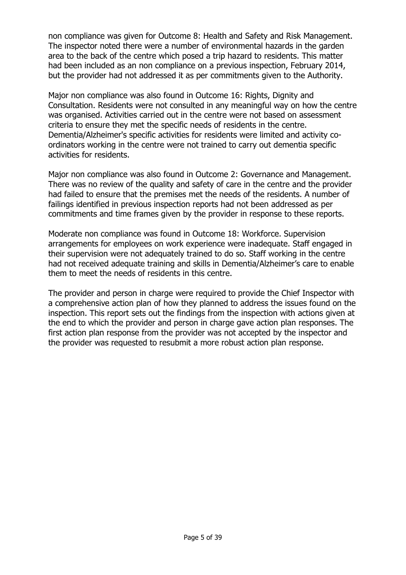non compliance was given for Outcome 8: Health and Safety and Risk Management. The inspector noted there were a number of environmental hazards in the garden area to the back of the centre which posed a trip hazard to residents. This matter had been included as an non compliance on a previous inspection, February 2014, but the provider had not addressed it as per commitments given to the Authority.

Major non compliance was also found in Outcome 16: Rights, Dignity and Consultation. Residents were not consulted in any meaningful way on how the centre was organised. Activities carried out in the centre were not based on assessment criteria to ensure they met the specific needs of residents in the centre. Dementia/Alzheimer's specific activities for residents were limited and activity coordinators working in the centre were not trained to carry out dementia specific activities for residents.

Major non compliance was also found in Outcome 2: Governance and Management. There was no review of the quality and safety of care in the centre and the provider had failed to ensure that the premises met the needs of the residents. A number of failings identified in previous inspection reports had not been addressed as per commitments and time frames given by the provider in response to these reports.

Moderate non compliance was found in Outcome 18: Workforce. Supervision arrangements for employees on work experience were inadequate. Staff engaged in their supervision were not adequately trained to do so. Staff working in the centre had not received adequate training and skills in Dementia/Alzheimer's care to enable them to meet the needs of residents in this centre.

The provider and person in charge were required to provide the Chief Inspector with a comprehensive action plan of how they planned to address the issues found on the inspection. This report sets out the findings from the inspection with actions given at the end to which the provider and person in charge gave action plan responses. The first action plan response from the provider was not accepted by the inspector and the provider was requested to resubmit a more robust action plan response.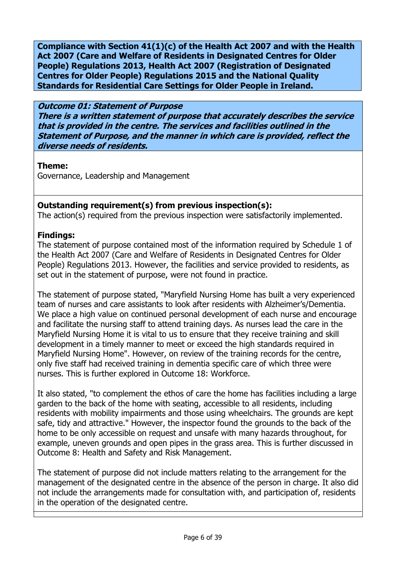Compliance with Section 41(1)(c) of the Health Act 2007 and with the Health Act 2007 (Care and Welfare of Residents in Designated Centres for Older People) Regulations 2013, Health Act 2007 (Registration of Designated Centres for Older People) Regulations 2015 and the National Quality Standards for Residential Care Settings for Older People in Ireland.

## Outcome 01: Statement of Purpose

There is a written statement of purpose that accurately describes the service that is provided in the centre. The services and facilities outlined in the Statement of Purpose, and the manner in which care is provided, reflect the diverse needs of residents.

## Theme:

Governance, Leadership and Management

# Outstanding requirement(s) from previous inspection(s):

The action(s) required from the previous inspection were satisfactorily implemented.

# Findings:

The statement of purpose contained most of the information required by Schedule 1 of the Health Act 2007 (Care and Welfare of Residents in Designated Centres for Older People) Regulations 2013. However, the facilities and service provided to residents, as set out in the statement of purpose, were not found in practice.

The statement of purpose stated, "Maryfield Nursing Home has built a very experienced team of nurses and care assistants to look after residents with Alzheimer's/Dementia. We place a high value on continued personal development of each nurse and encourage and facilitate the nursing staff to attend training days. As nurses lead the care in the Maryfield Nursing Home it is vital to us to ensure that they receive training and skill development in a timely manner to meet or exceed the high standards required in Maryfield Nursing Home". However, on review of the training records for the centre, only five staff had received training in dementia specific care of which three were nurses. This is further explored in Outcome 18: Workforce.

It also stated, "to complement the ethos of care the home has facilities including a large garden to the back of the home with seating, accessible to all residents, including residents with mobility impairments and those using wheelchairs. The grounds are kept safe, tidy and attractive." However, the inspector found the grounds to the back of the home to be only accessible on request and unsafe with many hazards throughout, for example, uneven grounds and open pipes in the grass area. This is further discussed in Outcome 8: Health and Safety and Risk Management.

The statement of purpose did not include matters relating to the arrangement for the management of the designated centre in the absence of the person in charge. It also did not include the arrangements made for consultation with, and participation of, residents in the operation of the designated centre.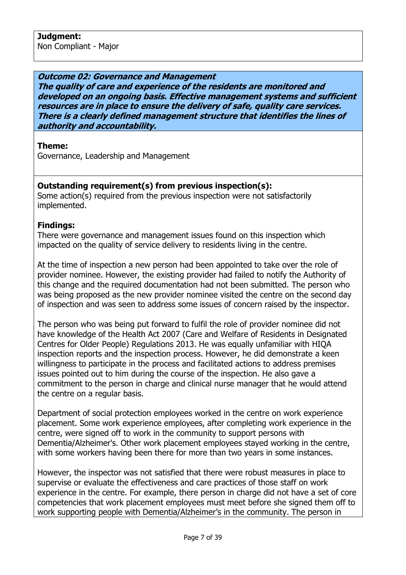Outcome 02: Governance and Management

The quality of care and experience of the residents are monitored and developed on an ongoing basis. Effective management systems and sufficient resources are in place to ensure the delivery of safe, quality care services. There is a clearly defined management structure that identifies the lines of authority and accountability.

## Theme:

Governance, Leadership and Management

# Outstanding requirement(s) from previous inspection(s):

Some action(s) required from the previous inspection were not satisfactorily implemented.

## Findings:

There were governance and management issues found on this inspection which impacted on the quality of service delivery to residents living in the centre.

At the time of inspection a new person had been appointed to take over the role of provider nominee. However, the existing provider had failed to notify the Authority of this change and the required documentation had not been submitted. The person who was being proposed as the new provider nominee visited the centre on the second day of inspection and was seen to address some issues of concern raised by the inspector.

The person who was being put forward to fulfil the role of provider nominee did not have knowledge of the Health Act 2007 (Care and Welfare of Residents in Designated Centres for Older People) Regulations 2013. He was equally unfamiliar with HIQA inspection reports and the inspection process. However, he did demonstrate a keen willingness to participate in the process and facilitated actions to address premises issues pointed out to him during the course of the inspection. He also gave a commitment to the person in charge and clinical nurse manager that he would attend the centre on a regular basis.

Department of social protection employees worked in the centre on work experience placement. Some work experience employees, after completing work experience in the centre, were signed off to work in the community to support persons with Dementia/Alzheimer's. Other work placement employees stayed working in the centre, with some workers having been there for more than two years in some instances.

However, the inspector was not satisfied that there were robust measures in place to supervise or evaluate the effectiveness and care practices of those staff on work experience in the centre. For example, there person in charge did not have a set of core competencies that work placement employees must meet before she signed them off to work supporting people with Dementia/Alzheimer's in the community. The person in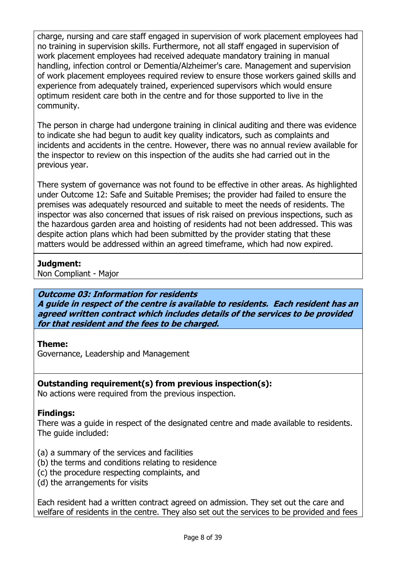charge, nursing and care staff engaged in supervision of work placement employees had no training in supervision skills. Furthermore, not all staff engaged in supervision of work placement employees had received adequate mandatory training in manual handling, infection control or Dementia/Alzheimer's care. Management and supervision of work placement employees required review to ensure those workers gained skills and experience from adequately trained, experienced supervisors which would ensure optimum resident care both in the centre and for those supported to live in the community.

The person in charge had undergone training in clinical auditing and there was evidence to indicate she had begun to audit key quality indicators, such as complaints and incidents and accidents in the centre. However, there was no annual review available for the inspector to review on this inspection of the audits she had carried out in the previous year.

There system of governance was not found to be effective in other areas. As highlighted under Outcome 12: Safe and Suitable Premises; the provider had failed to ensure the premises was adequately resourced and suitable to meet the needs of residents. The inspector was also concerned that issues of risk raised on previous inspections, such as the hazardous garden area and hoisting of residents had not been addressed. This was despite action plans which had been submitted by the provider stating that these matters would be addressed within an agreed timeframe, which had now expired.

## Judgment:

Non Compliant - Major

## Outcome 03: Information for residents

A guide in respect of the centre is available to residents. Each resident has an agreed written contract which includes details of the services to be provided for that resident and the fees to be charged.

# Theme:

Governance, Leadership and Management

# Outstanding requirement(s) from previous inspection(s):

No actions were required from the previous inspection.

# Findings:

There was a guide in respect of the designated centre and made available to residents. The guide included:

- (a) a summary of the services and facilities
- (b) the terms and conditions relating to residence
- (c) the procedure respecting complaints, and
- (d) the arrangements for visits

Each resident had a written contract agreed on admission. They set out the care and welfare of residents in the centre. They also set out the services to be provided and fees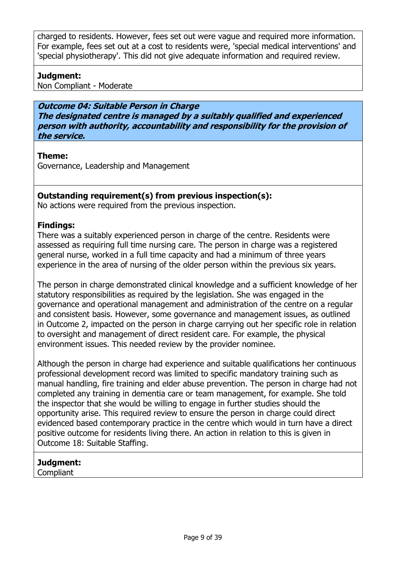charged to residents. However, fees set out were vague and required more information. For example, fees set out at a cost to residents were, 'special medical interventions' and 'special physiotherapy'. This did not give adequate information and required review.

# Judgment:

Non Compliant - Moderate

Outcome 04: Suitable Person in Charge The designated centre is managed by a suitably qualified and experienced person with authority, accountability and responsibility for the provision of the service.

## Theme:

Governance, Leadership and Management

# Outstanding requirement(s) from previous inspection(s):

No actions were required from the previous inspection.

## Findings:

There was a suitably experienced person in charge of the centre. Residents were assessed as requiring full time nursing care. The person in charge was a registered general nurse, worked in a full time capacity and had a minimum of three years experience in the area of nursing of the older person within the previous six years.

The person in charge demonstrated clinical knowledge and a sufficient knowledge of her statutory responsibilities as required by the legislation. She was engaged in the governance and operational management and administration of the centre on a regular and consistent basis. However, some governance and management issues, as outlined in Outcome 2, impacted on the person in charge carrying out her specific role in relation to oversight and management of direct resident care. For example, the physical environment issues. This needed review by the provider nominee.

Although the person in charge had experience and suitable qualifications her continuous professional development record was limited to specific mandatory training such as manual handling, fire training and elder abuse prevention. The person in charge had not completed any training in dementia care or team management, for example. She told the inspector that she would be willing to engage in further studies should the opportunity arise. This required review to ensure the person in charge could direct evidenced based contemporary practice in the centre which would in turn have a direct positive outcome for residents living there. An action in relation to this is given in Outcome 18: Suitable Staffing.

# Judgment:

Compliant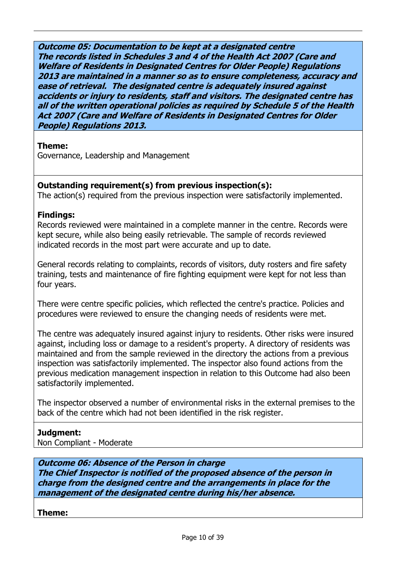Outcome 05: Documentation to be kept at a designated centre The records listed in Schedules 3 and 4 of the Health Act 2007 (Care and Welfare of Residents in Designated Centres for Older People) Regulations 2013 are maintained in a manner so as to ensure completeness, accuracy and ease of retrieval. The designated centre is adequately insured against accidents or injury to residents, staff and visitors. The designated centre has all of the written operational policies as required by Schedule 5 of the Health Act 2007 (Care and Welfare of Residents in Designated Centres for Older People) Regulations 2013.

### Theme:

Governance, Leadership and Management

## Outstanding requirement(s) from previous inspection(s):

The action(s) required from the previous inspection were satisfactorily implemented.

### Findings:

Records reviewed were maintained in a complete manner in the centre. Records were kept secure, while also being easily retrievable. The sample of records reviewed indicated records in the most part were accurate and up to date.

General records relating to complaints, records of visitors, duty rosters and fire safety training, tests and maintenance of fire fighting equipment were kept for not less than four years.

There were centre specific policies, which reflected the centre's practice. Policies and procedures were reviewed to ensure the changing needs of residents were met.

The centre was adequately insured against injury to residents. Other risks were insured against, including loss or damage to a resident's property. A directory of residents was maintained and from the sample reviewed in the directory the actions from a previous inspection was satisfactorily implemented. The inspector also found actions from the previous medication management inspection in relation to this Outcome had also been satisfactorily implemented.

The inspector observed a number of environmental risks in the external premises to the back of the centre which had not been identified in the risk register.

# Judgment:

Non Compliant - Moderate

Outcome 06: Absence of the Person in charge The Chief Inspector is notified of the proposed absence of the person in charge from the designed centre and the arrangements in place for the management of the designated centre during his/her absence.

Theme: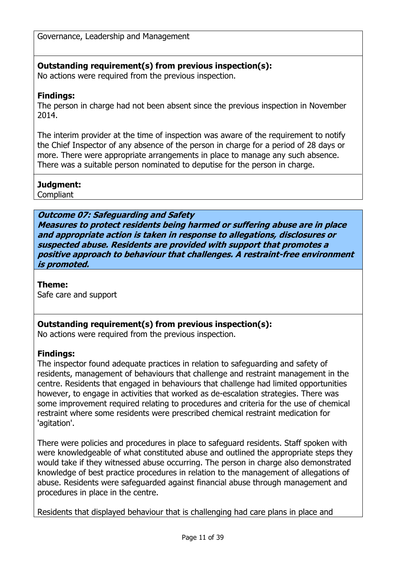Governance, Leadership and Management

# Outstanding requirement(s) from previous inspection(s):

No actions were required from the previous inspection.

## Findings:

The person in charge had not been absent since the previous inspection in November 2014.

The interim provider at the time of inspection was aware of the requirement to notify the Chief Inspector of any absence of the person in charge for a period of 28 days or more. There were appropriate arrangements in place to manage any such absence. There was a suitable person nominated to deputise for the person in charge.

## Judgment:

**Compliant** 

Outcome 07: Safeguarding and Safety Measures to protect residents being harmed or suffering abuse are in place and appropriate action is taken in response to allegations, disclosures or suspected abuse. Residents are provided with support that promotes a positive approach to behaviour that challenges. A restraint-free environment is promoted.

## Theme:

Safe care and support

# Outstanding requirement(s) from previous inspection(s):

No actions were required from the previous inspection.

# Findings:

The inspector found adequate practices in relation to safeguarding and safety of residents, management of behaviours that challenge and restraint management in the centre. Residents that engaged in behaviours that challenge had limited opportunities however, to engage in activities that worked as de-escalation strategies. There was some improvement required relating to procedures and criteria for the use of chemical restraint where some residents were prescribed chemical restraint medication for 'agitation'.

There were policies and procedures in place to safeguard residents. Staff spoken with were knowledgeable of what constituted abuse and outlined the appropriate steps they would take if they witnessed abuse occurring. The person in charge also demonstrated knowledge of best practice procedures in relation to the management of allegations of abuse. Residents were safeguarded against financial abuse through management and procedures in place in the centre.

Residents that displayed behaviour that is challenging had care plans in place and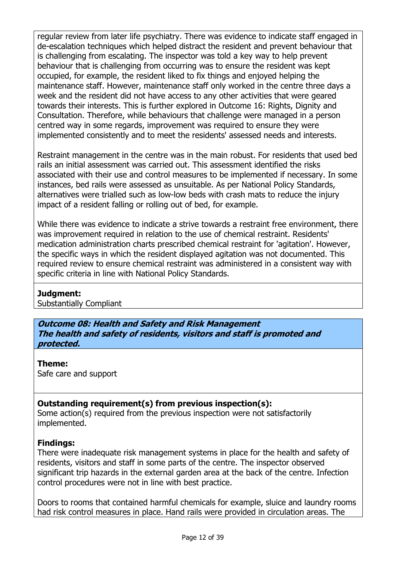regular review from later life psychiatry. There was evidence to indicate staff engaged in de-escalation techniques which helped distract the resident and prevent behaviour that is challenging from escalating. The inspector was told a key way to help prevent behaviour that is challenging from occurring was to ensure the resident was kept occupied, for example, the resident liked to fix things and enjoyed helping the maintenance staff. However, maintenance staff only worked in the centre three days a week and the resident did not have access to any other activities that were geared towards their interests. This is further explored in Outcome 16: Rights, Dignity and Consultation. Therefore, while behaviours that challenge were managed in a person centred way in some regards, improvement was required to ensure they were implemented consistently and to meet the residents' assessed needs and interests.

Restraint management in the centre was in the main robust. For residents that used bed rails an initial assessment was carried out. This assessment identified the risks associated with their use and control measures to be implemented if necessary. In some instances, bed rails were assessed as unsuitable. As per National Policy Standards, alternatives were trialled such as low-low beds with crash mats to reduce the injury impact of a resident falling or rolling out of bed, for example.

While there was evidence to indicate a strive towards a restraint free environment, there was improvement required in relation to the use of chemical restraint. Residents' medication administration charts prescribed chemical restraint for 'agitation'. However, the specific ways in which the resident displayed agitation was not documented. This required review to ensure chemical restraint was administered in a consistent way with specific criteria in line with National Policy Standards.

## Judgment:

Substantially Compliant

Outcome 08: Health and Safety and Risk Management The health and safety of residents, visitors and staff is promoted and protected.

Theme:

Safe care and support

# Outstanding requirement(s) from previous inspection(s):

Some action(s) required from the previous inspection were not satisfactorily implemented.

# Findings:

There were inadequate risk management systems in place for the health and safety of residents, visitors and staff in some parts of the centre. The inspector observed significant trip hazards in the external garden area at the back of the centre. Infection control procedures were not in line with best practice.

Doors to rooms that contained harmful chemicals for example, sluice and laundry rooms had risk control measures in place. Hand rails were provided in circulation areas. The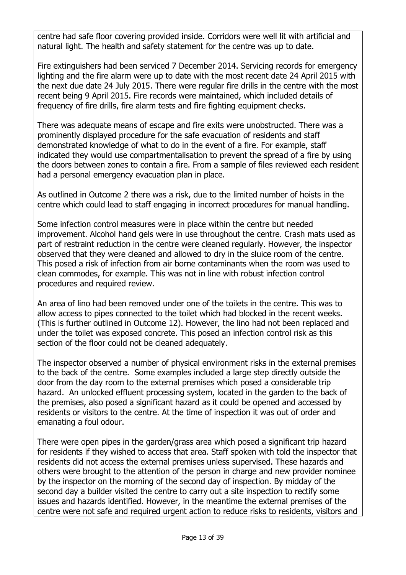centre had safe floor covering provided inside. Corridors were well lit with artificial and natural light. The health and safety statement for the centre was up to date.

Fire extinguishers had been serviced 7 December 2014. Servicing records for emergency lighting and the fire alarm were up to date with the most recent date 24 April 2015 with the next due date 24 July 2015. There were regular fire drills in the centre with the most recent being 9 April 2015. Fire records were maintained, which included details of frequency of fire drills, fire alarm tests and fire fighting equipment checks.

There was adequate means of escape and fire exits were unobstructed. There was a prominently displayed procedure for the safe evacuation of residents and staff demonstrated knowledge of what to do in the event of a fire. For example, staff indicated they would use compartmentalisation to prevent the spread of a fire by using the doors between zones to contain a fire. From a sample of files reviewed each resident had a personal emergency evacuation plan in place.

As outlined in Outcome 2 there was a risk, due to the limited number of hoists in the centre which could lead to staff engaging in incorrect procedures for manual handling.

Some infection control measures were in place within the centre but needed improvement. Alcohol hand gels were in use throughout the centre. Crash mats used as part of restraint reduction in the centre were cleaned regularly. However, the inspector observed that they were cleaned and allowed to dry in the sluice room of the centre. This posed a risk of infection from air borne contaminants when the room was used to clean commodes, for example. This was not in line with robust infection control procedures and required review.

An area of lino had been removed under one of the toilets in the centre. This was to allow access to pipes connected to the toilet which had blocked in the recent weeks. (This is further outlined in Outcome 12). However, the lino had not been replaced and under the toilet was exposed concrete. This posed an infection control risk as this section of the floor could not be cleaned adequately.

The inspector observed a number of physical environment risks in the external premises to the back of the centre. Some examples included a large step directly outside the door from the day room to the external premises which posed a considerable trip hazard. An unlocked effluent processing system, located in the garden to the back of the premises, also posed a significant hazard as it could be opened and accessed by residents or visitors to the centre. At the time of inspection it was out of order and emanating a foul odour.

There were open pipes in the garden/grass area which posed a significant trip hazard for residents if they wished to access that area. Staff spoken with told the inspector that residents did not access the external premises unless supervised. These hazards and others were brought to the attention of the person in charge and new provider nominee by the inspector on the morning of the second day of inspection. By midday of the second day a builder visited the centre to carry out a site inspection to rectify some issues and hazards identified. However, in the meantime the external premises of the centre were not safe and required urgent action to reduce risks to residents, visitors and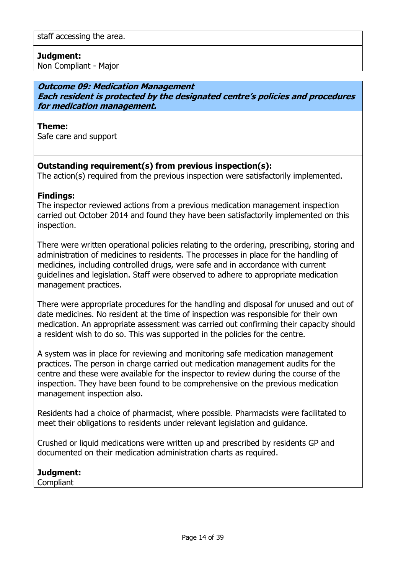## Judgment:

Non Compliant - Major

### Outcome 09: Medication Management Each resident is protected by the designated centre's policies and procedures for medication management.

#### Theme:

Safe care and support

## Outstanding requirement(s) from previous inspection(s):

The action(s) required from the previous inspection were satisfactorily implemented.

### Findings:

The inspector reviewed actions from a previous medication management inspection carried out October 2014 and found they have been satisfactorily implemented on this inspection.

There were written operational policies relating to the ordering, prescribing, storing and administration of medicines to residents. The processes in place for the handling of medicines, including controlled drugs, were safe and in accordance with current guidelines and legislation. Staff were observed to adhere to appropriate medication management practices.

There were appropriate procedures for the handling and disposal for unused and out of date medicines. No resident at the time of inspection was responsible for their own medication. An appropriate assessment was carried out confirming their capacity should a resident wish to do so. This was supported in the policies for the centre.

A system was in place for reviewing and monitoring safe medication management practices. The person in charge carried out medication management audits for the centre and these were available for the inspector to review during the course of the inspection. They have been found to be comprehensive on the previous medication management inspection also.

Residents had a choice of pharmacist, where possible. Pharmacists were facilitated to meet their obligations to residents under relevant legislation and guidance.

Crushed or liquid medications were written up and prescribed by residents GP and documented on their medication administration charts as required.

## Judgment:

Compliant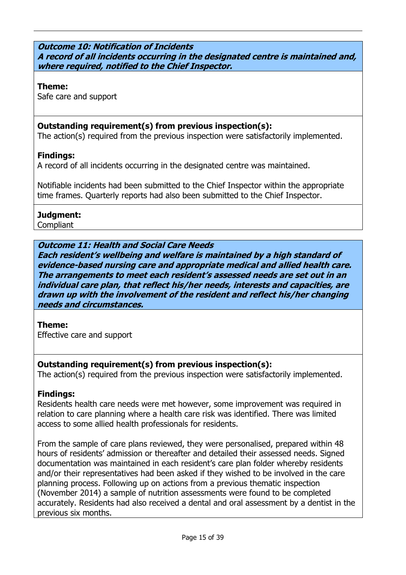#### Outcome 10: Notification of Incidents A record of all incidents occurring in the designated centre is maintained and, where required, notified to the Chief Inspector.

### Theme:

Safe care and support

# Outstanding requirement(s) from previous inspection(s):

The action(s) required from the previous inspection were satisfactorily implemented.

## Findings:

A record of all incidents occurring in the designated centre was maintained.

Notifiable incidents had been submitted to the Chief Inspector within the appropriate time frames. Quarterly reports had also been submitted to the Chief Inspector.

## Judgment:

**Compliant** 

# Outcome 11: Health and Social Care Needs

Each resident's wellbeing and welfare is maintained by a high standard of evidence-based nursing care and appropriate medical and allied health care. The arrangements to meet each resident's assessed needs are set out in an individual care plan, that reflect his/her needs, interests and capacities, are drawn up with the involvement of the resident and reflect his/her changing needs and circumstances.

## Theme:

Effective care and support

## Outstanding requirement(s) from previous inspection(s):

The action(s) required from the previous inspection were satisfactorily implemented.

## Findings:

Residents health care needs were met however, some improvement was required in relation to care planning where a health care risk was identified. There was limited access to some allied health professionals for residents.

From the sample of care plans reviewed, they were personalised, prepared within 48 hours of residents' admission or thereafter and detailed their assessed needs. Signed documentation was maintained in each resident's care plan folder whereby residents and/or their representatives had been asked if they wished to be involved in the care planning process. Following up on actions from a previous thematic inspection (November 2014) a sample of nutrition assessments were found to be completed accurately. Residents had also received a dental and oral assessment by a dentist in the previous six months.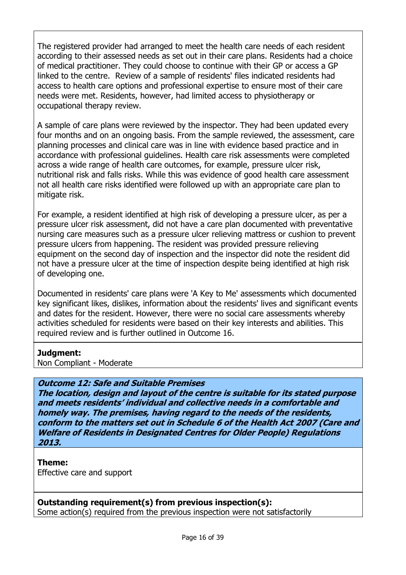The registered provider had arranged to meet the health care needs of each resident according to their assessed needs as set out in their care plans. Residents had a choice of medical practitioner. They could choose to continue with their GP or access a GP linked to the centre. Review of a sample of residents' files indicated residents had access to health care options and professional expertise to ensure most of their care needs were met. Residents, however, had limited access to physiotherapy or occupational therapy review.

A sample of care plans were reviewed by the inspector. They had been updated every four months and on an ongoing basis. From the sample reviewed, the assessment, care planning processes and clinical care was in line with evidence based practice and in accordance with professional guidelines. Health care risk assessments were completed across a wide range of health care outcomes, for example, pressure ulcer risk, nutritional risk and falls risks. While this was evidence of good health care assessment not all health care risks identified were followed up with an appropriate care plan to mitigate risk.

For example, a resident identified at high risk of developing a pressure ulcer, as per a pressure ulcer risk assessment, did not have a care plan documented with preventative nursing care measures such as a pressure ulcer relieving mattress or cushion to prevent pressure ulcers from happening. The resident was provided pressure relieving equipment on the second day of inspection and the inspector did note the resident did not have a pressure ulcer at the time of inspection despite being identified at high risk of developing one.

Documented in residents' care plans were 'A Key to Me' assessments which documented key significant likes, dislikes, information about the residents' lives and significant events and dates for the resident. However, there were no social care assessments whereby activities scheduled for residents were based on their key interests and abilities. This required review and is further outlined in Outcome 16.

## Judgment:

Non Compliant - Moderate

# Outcome 12: Safe and Suitable Premises

The location, design and layout of the centre is suitable for its stated purpose and meets residents' individual and collective needs in a comfortable and homely way. The premises, having regard to the needs of the residents, conform to the matters set out in Schedule 6 of the Health Act 2007 (Care and Welfare of Residents in Designated Centres for Older People) Regulations 2013.

#### Theme: Effective care and support

Outstanding requirement(s) from previous inspection(s):

Some action(s) required from the previous inspection were not satisfactorily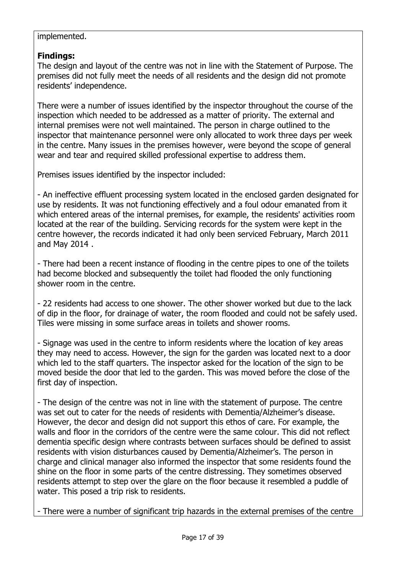## implemented.

# Findings:

The design and layout of the centre was not in line with the Statement of Purpose. The premises did not fully meet the needs of all residents and the design did not promote residents' independence.

There were a number of issues identified by the inspector throughout the course of the inspection which needed to be addressed as a matter of priority. The external and internal premises were not well maintained. The person in charge outlined to the inspector that maintenance personnel were only allocated to work three days per week in the centre. Many issues in the premises however, were beyond the scope of general wear and tear and required skilled professional expertise to address them.

Premises issues identified by the inspector included:

- An ineffective effluent processing system located in the enclosed garden designated for use by residents. It was not functioning effectively and a foul odour emanated from it which entered areas of the internal premises, for example, the residents' activities room located at the rear of the building. Servicing records for the system were kept in the centre however, the records indicated it had only been serviced February, March 2011 and May 2014 .

- There had been a recent instance of flooding in the centre pipes to one of the toilets had become blocked and subsequently the toilet had flooded the only functioning shower room in the centre.

- 22 residents had access to one shower. The other shower worked but due to the lack of dip in the floor, for drainage of water, the room flooded and could not be safely used. Tiles were missing in some surface areas in toilets and shower rooms.

- Signage was used in the centre to inform residents where the location of key areas they may need to access. However, the sign for the garden was located next to a door which led to the staff quarters. The inspector asked for the location of the sign to be moved beside the door that led to the garden. This was moved before the close of the first day of inspection.

- The design of the centre was not in line with the statement of purpose. The centre was set out to cater for the needs of residents with Dementia/Alzheimer's disease. However, the decor and design did not support this ethos of care. For example, the walls and floor in the corridors of the centre were the same colour. This did not reflect dementia specific design where contrasts between surfaces should be defined to assist residents with vision disturbances caused by Dementia/Alzheimer's. The person in charge and clinical manager also informed the inspector that some residents found the shine on the floor in some parts of the centre distressing. They sometimes observed residents attempt to step over the glare on the floor because it resembled a puddle of water. This posed a trip risk to residents.

- There were a number of significant trip hazards in the external premises of the centre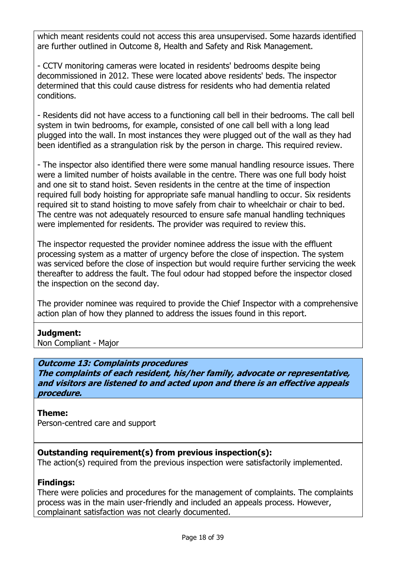which meant residents could not access this area unsupervised. Some hazards identified are further outlined in Outcome 8, Health and Safety and Risk Management.

- CCTV monitoring cameras were located in residents' bedrooms despite being decommissioned in 2012. These were located above residents' beds. The inspector determined that this could cause distress for residents who had dementia related conditions.

- Residents did not have access to a functioning call bell in their bedrooms. The call bell system in twin bedrooms, for example, consisted of one call bell with a long lead plugged into the wall. In most instances they were plugged out of the wall as they had been identified as a strangulation risk by the person in charge. This required review.

- The inspector also identified there were some manual handling resource issues. There were a limited number of hoists available in the centre. There was one full body hoist and one sit to stand hoist. Seven residents in the centre at the time of inspection required full body hoisting for appropriate safe manual handling to occur. Six residents required sit to stand hoisting to move safely from chair to wheelchair or chair to bed. The centre was not adequately resourced to ensure safe manual handling techniques were implemented for residents. The provider was required to review this.

The inspector requested the provider nominee address the issue with the effluent processing system as a matter of urgency before the close of inspection. The system was serviced before the close of inspection but would require further servicing the week thereafter to address the fault. The foul odour had stopped before the inspector closed the inspection on the second day.

The provider nominee was required to provide the Chief Inspector with a comprehensive action plan of how they planned to address the issues found in this report.

# Judgment:

Non Compliant - Major

## Outcome 13: Complaints procedures

The complaints of each resident, his/her family, advocate or representative, and visitors are listened to and acted upon and there is an effective appeals procedure.

## Theme:

Person-centred care and support

# Outstanding requirement(s) from previous inspection(s):

The action(s) required from the previous inspection were satisfactorily implemented.

## Findings:

There were policies and procedures for the management of complaints. The complaints process was in the main user-friendly and included an appeals process. However, complainant satisfaction was not clearly documented.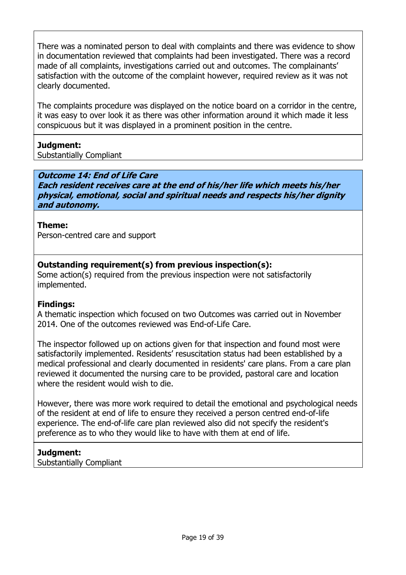There was a nominated person to deal with complaints and there was evidence to show in documentation reviewed that complaints had been investigated. There was a record made of all complaints, investigations carried out and outcomes. The complainants' satisfaction with the outcome of the complaint however, required review as it was not clearly documented.

The complaints procedure was displayed on the notice board on a corridor in the centre, it was easy to over look it as there was other information around it which made it less conspicuous but it was displayed in a prominent position in the centre.

## Judgment:

Substantially Compliant

## Outcome 14: End of Life Care

Each resident receives care at the end of his/her life which meets his/her physical, emotional, social and spiritual needs and respects his/her dignity and autonomy.

## Theme:

Person-centred care and support

## Outstanding requirement(s) from previous inspection(s):

Some action(s) required from the previous inspection were not satisfactorily implemented.

## Findings:

A thematic inspection which focused on two Outcomes was carried out in November 2014. One of the outcomes reviewed was End-of-Life Care.

The inspector followed up on actions given for that inspection and found most were satisfactorily implemented. Residents' resuscitation status had been established by a medical professional and clearly documented in residents' care plans. From a care plan reviewed it documented the nursing care to be provided, pastoral care and location where the resident would wish to die.

However, there was more work required to detail the emotional and psychological needs of the resident at end of life to ensure they received a person centred end-of-life experience. The end-of-life care plan reviewed also did not specify the resident's preference as to who they would like to have with them at end of life.

## Judgment:

Substantially Compliant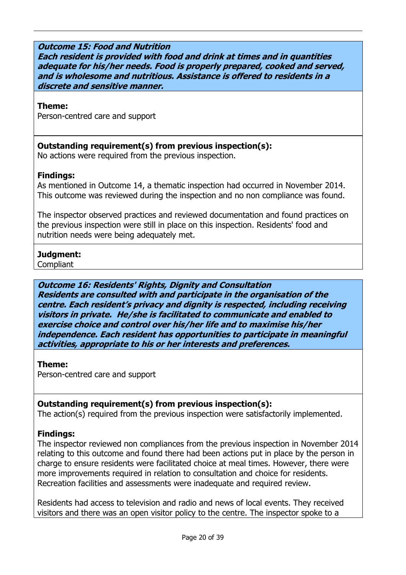### Outcome 15: Food and Nutrition

Each resident is provided with food and drink at times and in quantities adequate for his/her needs. Food is properly prepared, cooked and served, and is wholesome and nutritious. Assistance is offered to residents in a discrete and sensitive manner.

#### Theme:

Person-centred care and support

### Outstanding requirement(s) from previous inspection(s):

No actions were required from the previous inspection.

## Findings:

As mentioned in Outcome 14, a thematic inspection had occurred in November 2014. This outcome was reviewed during the inspection and no non compliance was found.

The inspector observed practices and reviewed documentation and found practices on the previous inspection were still in place on this inspection. Residents' food and nutrition needs were being adequately met.

# Judgment:

Compliant

## Outcome 16: Residents' Rights, Dignity and Consultation

Residents are consulted with and participate in the organisation of the centre. Each resident's privacy and dignity is respected, including receiving visitors in private. He/she is facilitated to communicate and enabled to exercise choice and control over his/her life and to maximise his/her independence. Each resident has opportunities to participate in meaningful activities, appropriate to his or her interests and preferences.

#### Theme:

Person-centred care and support

## Outstanding requirement(s) from previous inspection(s):

The action(s) required from the previous inspection were satisfactorily implemented.

## Findings:

The inspector reviewed non compliances from the previous inspection in November 2014 relating to this outcome and found there had been actions put in place by the person in charge to ensure residents were facilitated choice at meal times. However, there were more improvements required in relation to consultation and choice for residents. Recreation facilities and assessments were inadequate and required review.

Residents had access to television and radio and news of local events. They received visitors and there was an open visitor policy to the centre. The inspector spoke to a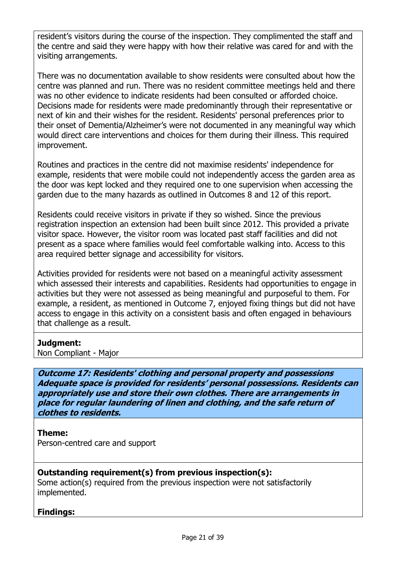resident's visitors during the course of the inspection. They complimented the staff and the centre and said they were happy with how their relative was cared for and with the visiting arrangements.

There was no documentation available to show residents were consulted about how the centre was planned and run. There was no resident committee meetings held and there was no other evidence to indicate residents had been consulted or afforded choice. Decisions made for residents were made predominantly through their representative or next of kin and their wishes for the resident. Residents' personal preferences prior to their onset of Dementia/Alzheimer's were not documented in any meaningful way which would direct care interventions and choices for them during their illness. This required improvement.

Routines and practices in the centre did not maximise residents' independence for example, residents that were mobile could not independently access the garden area as the door was kept locked and they required one to one supervision when accessing the garden due to the many hazards as outlined in Outcomes 8 and 12 of this report.

Residents could receive visitors in private if they so wished. Since the previous registration inspection an extension had been built since 2012. This provided a private visitor space. However, the visitor room was located past staff facilities and did not present as a space where families would feel comfortable walking into. Access to this area required better signage and accessibility for visitors.

Activities provided for residents were not based on a meaningful activity assessment which assessed their interests and capabilities. Residents had opportunities to engage in activities but they were not assessed as being meaningful and purposeful to them. For example, a resident, as mentioned in Outcome 7, enjoyed fixing things but did not have access to engage in this activity on a consistent basis and often engaged in behaviours that challenge as a result.

## Judgment:

Non Compliant - Major

Outcome 17: Residents' clothing and personal property and possessions Adequate space is provided for residents' personal possessions. Residents can appropriately use and store their own clothes. There are arrangements in place for regular laundering of linen and clothing, and the safe return of clothes to residents.

## Theme:

Person-centred care and support

## Outstanding requirement(s) from previous inspection(s):

Some action(s) required from the previous inspection were not satisfactorily implemented.

## Findings: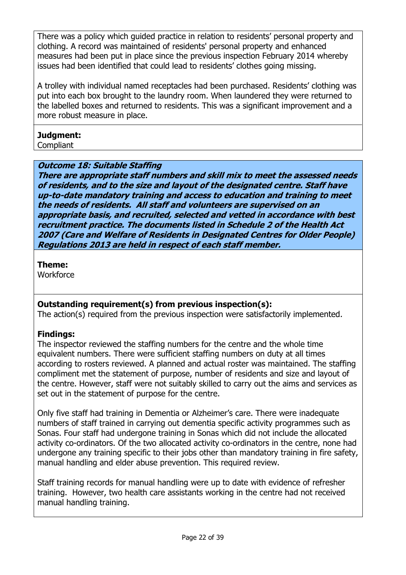There was a policy which guided practice in relation to residents' personal property and clothing. A record was maintained of residents' personal property and enhanced measures had been put in place since the previous inspection February 2014 whereby issues had been identified that could lead to residents' clothes going missing.

A trolley with individual named receptacles had been purchased. Residents' clothing was put into each box brought to the laundry room. When laundered they were returned to the labelled boxes and returned to residents. This was a significant improvement and a more robust measure in place.

# Judgment:

Compliant

## Outcome 18: Suitable Staffing

There are appropriate staff numbers and skill mix to meet the assessed needs of residents, and to the size and layout of the designated centre. Staff have up-to-date mandatory training and access to education and training to meet the needs of residents. All staff and volunteers are supervised on an appropriate basis, and recruited, selected and vetted in accordance with best recruitment practice. The documents listed in Schedule 2 of the Health Act 2007 (Care and Welfare of Residents in Designated Centres for Older People) Regulations 2013 are held in respect of each staff member.

## Theme:

**Workforce** 

# Outstanding requirement(s) from previous inspection(s):

The action(s) required from the previous inspection were satisfactorily implemented.

# Findings:

The inspector reviewed the staffing numbers for the centre and the whole time equivalent numbers. There were sufficient staffing numbers on duty at all times according to rosters reviewed. A planned and actual roster was maintained. The staffing compliment met the statement of purpose, number of residents and size and layout of the centre. However, staff were not suitably skilled to carry out the aims and services as set out in the statement of purpose for the centre.

Only five staff had training in Dementia or Alzheimer's care. There were inadequate numbers of staff trained in carrying out dementia specific activity programmes such as Sonas. Four staff had undergone training in Sonas which did not include the allocated activity co-ordinators. Of the two allocated activity co-ordinators in the centre, none had undergone any training specific to their jobs other than mandatory training in fire safety, manual handling and elder abuse prevention. This required review.

Staff training records for manual handling were up to date with evidence of refresher training. However, two health care assistants working in the centre had not received manual handling training.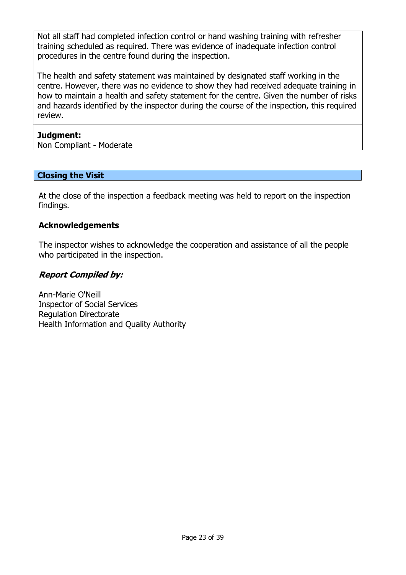Not all staff had completed infection control or hand washing training with refresher training scheduled as required. There was evidence of inadequate infection control procedures in the centre found during the inspection.

The health and safety statement was maintained by designated staff working in the centre. However, there was no evidence to show they had received adequate training in how to maintain a health and safety statement for the centre. Given the number of risks and hazards identified by the inspector during the course of the inspection, this required review.

## Judgment:

Non Compliant - Moderate

## Closing the Visit

At the close of the inspection a feedback meeting was held to report on the inspection findings.

## Acknowledgements

The inspector wishes to acknowledge the cooperation and assistance of all the people who participated in the inspection.

# Report Compiled by:

Ann-Marie O'Neill Inspector of Social Services Regulation Directorate Health Information and Quality Authority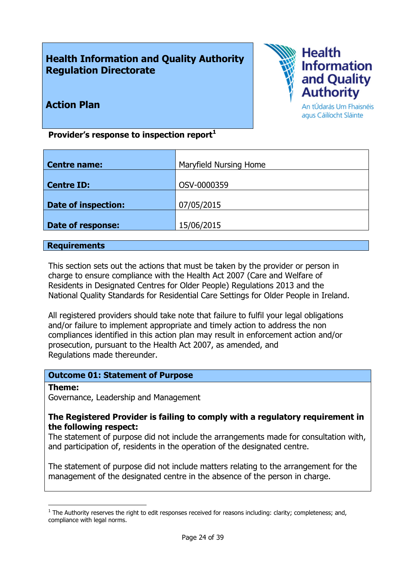# Health Information and Quality Authority Regulation Directorate



Action Plan

An tÚdarás Um Fhaisnéis agus Cáilíocht Sláinte

Provider's response to inspection report $<sup>1</sup>$ </sup>

| Maryfield Nursing Home |
|------------------------|
|                        |
|                        |
| OSV-0000359            |
|                        |
| 07/05/2015             |
|                        |
| 15/06/2015             |
|                        |

### **Requirements**

This section sets out the actions that must be taken by the provider or person in charge to ensure compliance with the Health Act 2007 (Care and Welfare of Residents in Designated Centres for Older People) Regulations 2013 and the National Quality Standards for Residential Care Settings for Older People in Ireland.

All registered providers should take note that failure to fulfil your legal obligations and/or failure to implement appropriate and timely action to address the non compliances identified in this action plan may result in enforcement action and/or prosecution, pursuant to the Health Act 2007, as amended, and Regulations made thereunder.

## Outcome 01: Statement of Purpose

#### Theme:

-

Governance, Leadership and Management

### The Registered Provider is failing to comply with a regulatory requirement in the following respect:

The statement of purpose did not include the arrangements made for consultation with, and participation of, residents in the operation of the designated centre.

The statement of purpose did not include matters relating to the arrangement for the management of the designated centre in the absence of the person in charge.

 $1$  The Authority reserves the right to edit responses received for reasons including: clarity; completeness; and, compliance with legal norms.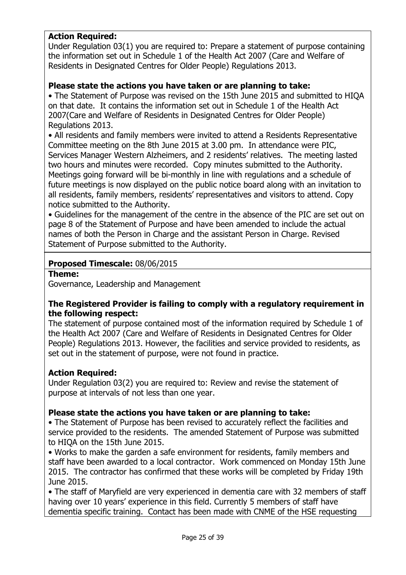# Action Required:

Under Regulation 03(1) you are required to: Prepare a statement of purpose containing the information set out in Schedule 1 of the Health Act 2007 (Care and Welfare of Residents in Designated Centres for Older People) Regulations 2013.

### Please state the actions you have taken or are planning to take:

• The Statement of Purpose was revised on the 15th June 2015 and submitted to HIQA on that date. It contains the information set out in Schedule 1 of the Health Act 2007(Care and Welfare of Residents in Designated Centres for Older People) Regulations 2013.

• All residents and family members were invited to attend a Residents Representative Committee meeting on the 8th June 2015 at 3.00 pm. In attendance were PIC, Services Manager Western Alzheimers, and 2 residents' relatives. The meeting lasted two hours and minutes were recorded. Copy minutes submitted to the Authority. Meetings going forward will be bi-monthly in line with regulations and a schedule of future meetings is now displayed on the public notice board along with an invitation to all residents, family members, residents' representatives and visitors to attend. Copy notice submitted to the Authority.

• Guidelines for the management of the centre in the absence of the PIC are set out on page 8 of the Statement of Purpose and have been amended to include the actual names of both the Person in Charge and the assistant Person in Charge. Revised Statement of Purpose submitted to the Authority.

### Proposed Timescale: 08/06/2015

Theme:

Governance, Leadership and Management

## The Registered Provider is failing to comply with a regulatory requirement in the following respect:

The statement of purpose contained most of the information required by Schedule 1 of the Health Act 2007 (Care and Welfare of Residents in Designated Centres for Older People) Regulations 2013. However, the facilities and service provided to residents, as set out in the statement of purpose, were not found in practice.

## Action Required:

Under Regulation 03(2) you are required to: Review and revise the statement of purpose at intervals of not less than one year.

## Please state the actions you have taken or are planning to take:

• The Statement of Purpose has been revised to accurately reflect the facilities and service provided to the residents. The amended Statement of Purpose was submitted to HIQA on the 15th June 2015.

• Works to make the garden a safe environment for residents, family members and staff have been awarded to a local contractor. Work commenced on Monday 15th June 2015. The contractor has confirmed that these works will be completed by Friday 19th June 2015.

• The staff of Maryfield are very experienced in dementia care with 32 members of staff having over 10 years' experience in this field. Currently 5 members of staff have dementia specific training. Contact has been made with CNME of the HSE requesting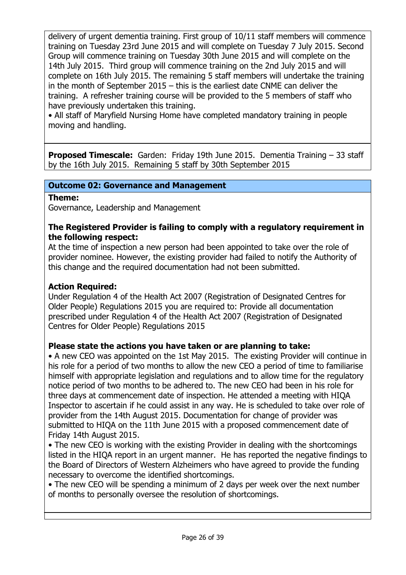delivery of urgent dementia training. First group of 10/11 staff members will commence training on Tuesday 23rd June 2015 and will complete on Tuesday 7 July 2015. Second Group will commence training on Tuesday 30th June 2015 and will complete on the 14th July 2015. Third group will commence training on the 2nd July 2015 and will complete on 16th July 2015. The remaining 5 staff members will undertake the training in the month of September 2015 – this is the earliest date CNME can deliver the training. A refresher training course will be provided to the 5 members of staff who have previously undertaken this training.

• All staff of Maryfield Nursing Home have completed mandatory training in people moving and handling.

Proposed Timescale: Garden: Friday 19th June 2015. Dementia Training – 33 staff by the 16th July 2015. Remaining 5 staff by 30th September 2015

## Outcome 02: Governance and Management

### Theme:

Governance, Leadership and Management

## The Registered Provider is failing to comply with a regulatory requirement in the following respect:

At the time of inspection a new person had been appointed to take over the role of provider nominee. However, the existing provider had failed to notify the Authority of this change and the required documentation had not been submitted.

## Action Required:

Under Regulation 4 of the Health Act 2007 (Registration of Designated Centres for Older People) Regulations 2015 you are required to: Provide all documentation prescribed under Regulation 4 of the Health Act 2007 (Registration of Designated Centres for Older People) Regulations 2015

## Please state the actions you have taken or are planning to take:

• A new CEO was appointed on the 1st May 2015. The existing Provider will continue in his role for a period of two months to allow the new CEO a period of time to familiarise himself with appropriate legislation and regulations and to allow time for the regulatory notice period of two months to be adhered to. The new CEO had been in his role for three days at commencement date of inspection. He attended a meeting with HIQA Inspector to ascertain if he could assist in any way. He is scheduled to take over role of provider from the 14th August 2015. Documentation for change of provider was submitted to HIQA on the 11th June 2015 with a proposed commencement date of Friday 14th August 2015.

• The new CEO is working with the existing Provider in dealing with the shortcomings listed in the HIQA report in an urgent manner. He has reported the negative findings to the Board of Directors of Western Alzheimers who have agreed to provide the funding necessary to overcome the identified shortcomings.

• The new CEO will be spending a minimum of 2 days per week over the next number of months to personally oversee the resolution of shortcomings.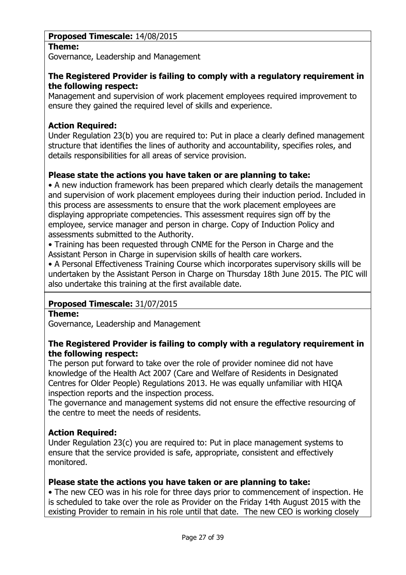# Proposed Timescale: 14/08/2015

## Theme:

Governance, Leadership and Management

## The Registered Provider is failing to comply with a regulatory requirement in the following respect:

Management and supervision of work placement employees required improvement to ensure they gained the required level of skills and experience.

# Action Required:

Under Regulation 23(b) you are required to: Put in place a clearly defined management structure that identifies the lines of authority and accountability, specifies roles, and details responsibilities for all areas of service provision.

# Please state the actions you have taken or are planning to take:

• A new induction framework has been prepared which clearly details the management and supervision of work placement employees during their induction period. Included in this process are assessments to ensure that the work placement employees are displaying appropriate competencies. This assessment requires sign off by the employee, service manager and person in charge. Copy of Induction Policy and assessments submitted to the Authority.

• Training has been requested through CNME for the Person in Charge and the Assistant Person in Charge in supervision skills of health care workers.

• A Personal Effectiveness Training Course which incorporates supervisory skills will be undertaken by the Assistant Person in Charge on Thursday 18th June 2015. The PIC will also undertake this training at the first available date.

# Proposed Timescale: 31/07/2015

## Theme:

Governance, Leadership and Management

## The Registered Provider is failing to comply with a regulatory requirement in the following respect:

The person put forward to take over the role of provider nominee did not have knowledge of the Health Act 2007 (Care and Welfare of Residents in Designated Centres for Older People) Regulations 2013. He was equally unfamiliar with HIQA inspection reports and the inspection process.

The governance and management systems did not ensure the effective resourcing of the centre to meet the needs of residents.

# Action Required:

Under Regulation 23(c) you are required to: Put in place management systems to ensure that the service provided is safe, appropriate, consistent and effectively monitored.

# Please state the actions you have taken or are planning to take:

• The new CEO was in his role for three days prior to commencement of inspection. He is scheduled to take over the role as Provider on the Friday 14th August 2015 with the existing Provider to remain in his role until that date. The new CEO is working closely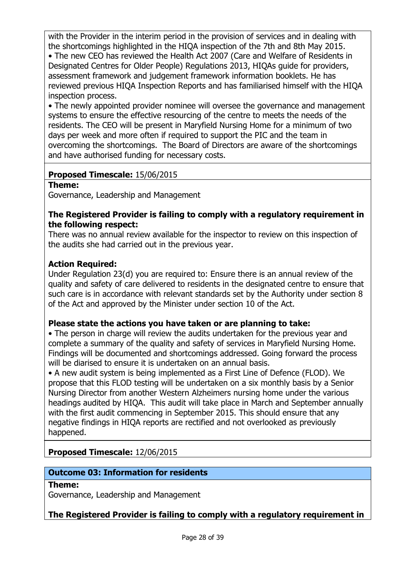with the Provider in the interim period in the provision of services and in dealing with the shortcomings highlighted in the HIQA inspection of the 7th and 8th May 2015. • The new CEO has reviewed the Health Act 2007 (Care and Welfare of Residents in Designated Centres for Older People) Regulations 2013, HIQAs guide for providers, assessment framework and judgement framework information booklets. He has reviewed previous HIQA Inspection Reports and has familiarised himself with the HIQA inspection process.

• The newly appointed provider nominee will oversee the governance and management systems to ensure the effective resourcing of the centre to meets the needs of the residents. The CEO will be present in Maryfield Nursing Home for a minimum of two days per week and more often if required to support the PIC and the team in overcoming the shortcomings. The Board of Directors are aware of the shortcomings and have authorised funding for necessary costs.

# Proposed Timescale: 15/06/2015

Theme:

Governance, Leadership and Management

## The Registered Provider is failing to comply with a regulatory requirement in the following respect:

There was no annual review available for the inspector to review on this inspection of the audits she had carried out in the previous year.

## Action Required:

Under Regulation 23(d) you are required to: Ensure there is an annual review of the quality and safety of care delivered to residents in the designated centre to ensure that such care is in accordance with relevant standards set by the Authority under section 8 of the Act and approved by the Minister under section 10 of the Act.

## Please state the actions you have taken or are planning to take:

• The person in charge will review the audits undertaken for the previous vear and complete a summary of the quality and safety of services in Maryfield Nursing Home. Findings will be documented and shortcomings addressed. Going forward the process will be diarised to ensure it is undertaken on an annual basis.

• A new audit system is being implemented as a First Line of Defence (FLOD). We propose that this FLOD testing will be undertaken on a six monthly basis by a Senior Nursing Director from another Western Alzheimers nursing home under the various headings audited by HIQA. This audit will take place in March and September annually with the first audit commencing in September 2015. This should ensure that any negative findings in HIQA reports are rectified and not overlooked as previously happened.

# Proposed Timescale: 12/06/2015

## Outcome 03: Information for residents

#### Theme:

Governance, Leadership and Management

## The Registered Provider is failing to comply with a regulatory requirement in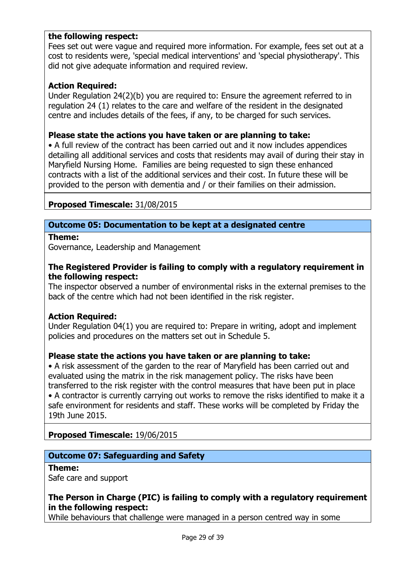## the following respect:

Fees set out were vague and required more information. For example, fees set out at a cost to residents were, 'special medical interventions' and 'special physiotherapy'. This did not give adequate information and required review.

### Action Required:

Under Regulation 24(2)(b) you are required to: Ensure the agreement referred to in regulation 24 (1) relates to the care and welfare of the resident in the designated centre and includes details of the fees, if any, to be charged for such services.

#### Please state the actions you have taken or are planning to take:

• A full review of the contract has been carried out and it now includes appendices detailing all additional services and costs that residents may avail of during their stay in Maryfield Nursing Home. Families are being requested to sign these enhanced contracts with a list of the additional services and their cost. In future these will be provided to the person with dementia and / or their families on their admission.

### Proposed Timescale: 31/08/2015

## Outcome 05: Documentation to be kept at a designated centre

### Theme:

Governance, Leadership and Management

### The Registered Provider is failing to comply with a regulatory requirement in the following respect:

The inspector observed a number of environmental risks in the external premises to the back of the centre which had not been identified in the risk register.

#### Action Required:

Under Regulation 04(1) you are required to: Prepare in writing, adopt and implement policies and procedures on the matters set out in Schedule 5.

### Please state the actions you have taken or are planning to take:

• A risk assessment of the garden to the rear of Maryfield has been carried out and evaluated using the matrix in the risk management policy. The risks have been transferred to the risk register with the control measures that have been put in place • A contractor is currently carrying out works to remove the risks identified to make it a safe environment for residents and staff. These works will be completed by Friday the 19th June 2015.

## Proposed Timescale: 19/06/2015

## Outcome 07: Safeguarding and Safety

#### Theme:

Safe care and support

## The Person in Charge (PIC) is failing to comply with a regulatory requirement in the following respect:

While behaviours that challenge were managed in a person centred way in some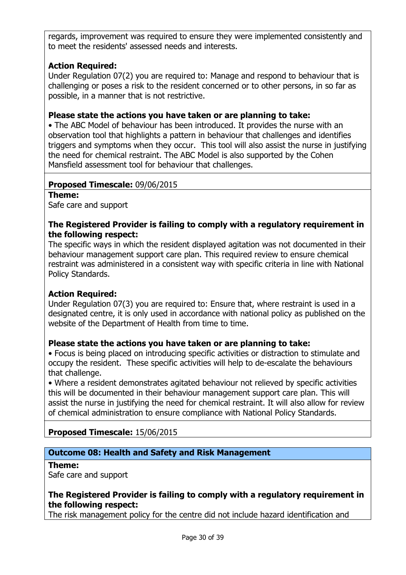regards, improvement was required to ensure they were implemented consistently and to meet the residents' assessed needs and interests.

# Action Required:

Under Regulation 07(2) you are required to: Manage and respond to behaviour that is challenging or poses a risk to the resident concerned or to other persons, in so far as possible, in a manner that is not restrictive.

### Please state the actions you have taken or are planning to take:

• The ABC Model of behaviour has been introduced. It provides the nurse with an observation tool that highlights a pattern in behaviour that challenges and identifies triggers and symptoms when they occur. This tool will also assist the nurse in justifying the need for chemical restraint. The ABC Model is also supported by the Cohen Mansfield assessment tool for behaviour that challenges.

### Proposed Timescale: 09/06/2015

Theme:

Safe care and support

### The Registered Provider is failing to comply with a regulatory requirement in the following respect:

The specific ways in which the resident displayed agitation was not documented in their behaviour management support care plan. This required review to ensure chemical restraint was administered in a consistent way with specific criteria in line with National Policy Standards.

## Action Required:

Under Regulation 07(3) you are required to: Ensure that, where restraint is used in a designated centre, it is only used in accordance with national policy as published on the website of the Department of Health from time to time.

## Please state the actions you have taken or are planning to take:

• Focus is being placed on introducing specific activities or distraction to stimulate and occupy the resident. These specific activities will help to de-escalate the behaviours that challenge.

• Where a resident demonstrates agitated behaviour not relieved by specific activities this will be documented in their behaviour management support care plan. This will assist the nurse in justifying the need for chemical restraint. It will also allow for review of chemical administration to ensure compliance with National Policy Standards.

# Proposed Timescale: 15/06/2015

# Outcome 08: Health and Safety and Risk Management

Theme:

Safe care and support

## The Registered Provider is failing to comply with a regulatory requirement in the following respect:

The risk management policy for the centre did not include hazard identification and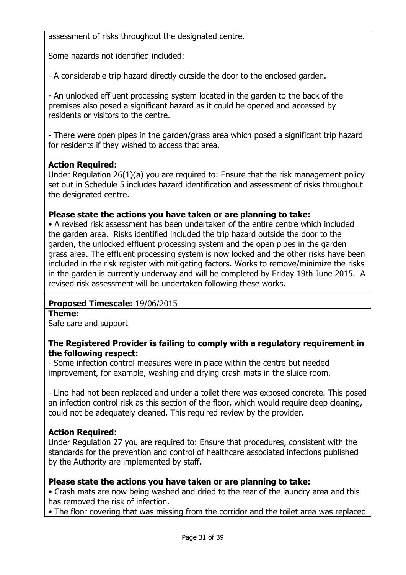assessment of risks throughout the designated centre.

Some hazards not identified included:

- A considerable trip hazard directly outside the door to the enclosed garden.

- An unlocked effluent processing system located in the garden to the back of the premises also posed a significant hazard as it could be opened and accessed by residents or visitors to the centre.

- There were open pipes in the garden/grass area which posed a significant trip hazard for residents if they wished to access that area.

## **Action Required:**

Under Regulation 26(1)(a) you are required to: Ensure that the risk management policy set out in Schedule 5 includes hazard identification and assessment of risks throughout the designated centre.

## Please state the actions you have taken or are planning to take:

• A revised risk assessment has been undertaken of the entire centre which included the garden area. Risks identified included the trip hazard outside the door to the garden, the unlocked effluent processing system and the open pipes in the garden grass area. The effluent processing system is now locked and the other risks have been included in the risk register with mitigating factors. Works to remove/minimize the risks in the garden is currently underway and will be completed by Friday 19th June 2015. A revised risk assessment will be undertaken following these works.

## Proposed Timescale: 19/06/2015

#### Theme:

Safe care and support

## The Registered Provider is failing to comply with a regulatory requirement in the following respect:

- Some infection control measures were in place within the centre but needed improvement, for example, washing and drying crash mats in the sluice room.

- Lino had not been replaced and under a toilet there was exposed concrete. This posed an infection control risk as this section of the floor, which would require deep cleaning, could not be adequately cleaned. This required review by the provider.

## Action Required:

Under Regulation 27 you are required to: Ensure that procedures, consistent with the standards for the prevention and control of healthcare associated infections published by the Authority are implemented by staff.

#### Please state the actions you have taken or are planning to take:

• Crash mats are now being washed and dried to the rear of the laundry area and this has removed the risk of infection.

• The floor covering that was missing from the corridor and the toilet area was replaced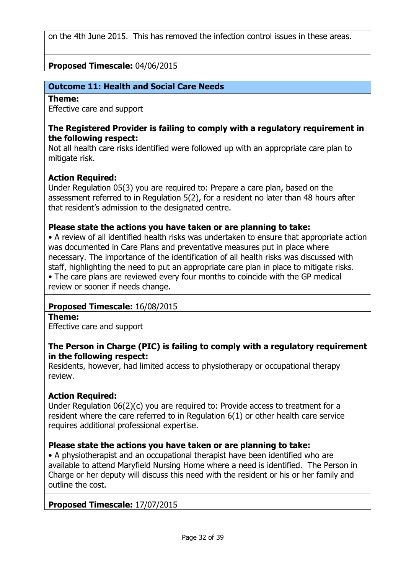on the 4th June 2015. This has removed the infection control issues in these areas.

## Proposed Timescale: 04/06/2015

## Outcome 11: Health and Social Care Needs

#### Theme:

Effective care and support

### The Registered Provider is failing to comply with a regulatory requirement in the following respect:

Not all health care risks identified were followed up with an appropriate care plan to mitigate risk.

# **Action Required:**

Under Regulation 05(3) you are required to: Prepare a care plan, based on the assessment referred to in Regulation 5(2), for a resident no later than 48 hours after that resident's admission to the designated centre.

## Please state the actions you have taken or are planning to take:

• A review of all identified health risks was undertaken to ensure that appropriate action was documented in Care Plans and preventative measures put in place where necessary. The importance of the identification of all health risks was discussed with staff, highlighting the need to put an appropriate care plan in place to mitigate risks. • The care plans are reviewed every four months to coincide with the GP medical

review or sooner if needs change.

## Proposed Timescale: 16/08/2015

#### Theme:

Effective care and support

## The Person in Charge (PIC) is failing to comply with a regulatory requirement in the following respect:

Residents, however, had limited access to physiotherapy or occupational therapy review.

## Action Required:

Under Regulation 06(2)(c) you are required to: Provide access to treatment for a resident where the care referred to in Regulation 6(1) or other health care service requires additional professional expertise.

## Please state the actions you have taken or are planning to take:

• A physiotherapist and an occupational therapist have been identified who are available to attend Maryfield Nursing Home where a need is identified. The Person in Charge or her deputy will discuss this need with the resident or his or her family and outline the cost.

## Proposed Timescale: 17/07/2015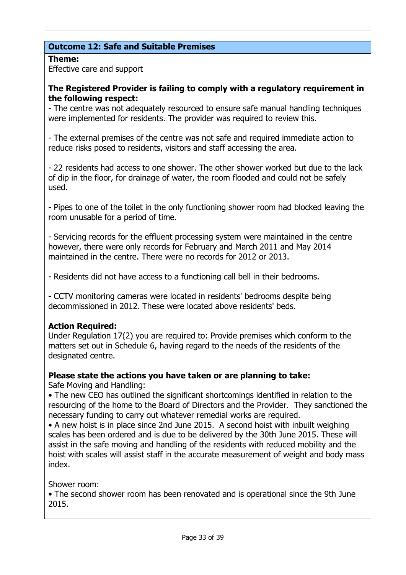# Outcome 12: Safe and Suitable Premises

## Theme:

Effective care and support

## The Registered Provider is failing to comply with a regulatory requirement in the following respect:

- The centre was not adequately resourced to ensure safe manual handling techniques were implemented for residents. The provider was required to review this.

- The external premises of the centre was not safe and required immediate action to reduce risks posed to residents, visitors and staff accessing the area.

- 22 residents had access to one shower. The other shower worked but due to the lack of dip in the floor, for drainage of water, the room flooded and could not be safely used.

- Pipes to one of the toilet in the only functioning shower room had blocked leaving the room unusable for a period of time.

- Servicing records for the effluent processing system were maintained in the centre however, there were only records for February and March 2011 and May 2014 maintained in the centre. There were no records for 2012 or 2013.

- Residents did not have access to a functioning call bell in their bedrooms.

- CCTV monitoring cameras were located in residents' bedrooms despite being decommissioned in 2012. These were located above residents' beds.

# Action Required:

Under Regulation 17(2) you are required to: Provide premises which conform to the matters set out in Schedule 6, having regard to the needs of the residents of the designated centre.

# Please state the actions you have taken or are planning to take:

Safe Moving and Handling:

• The new CEO has outlined the significant shortcomings identified in relation to the resourcing of the home to the Board of Directors and the Provider. They sanctioned the necessary funding to carry out whatever remedial works are required.

• A new hoist is in place since 2nd June 2015. A second hoist with inbuilt weighing scales has been ordered and is due to be delivered by the 30th June 2015. These will assist in the safe moving and handling of the residents with reduced mobility and the hoist with scales will assist staff in the accurate measurement of weight and body mass index.

Shower room:

• The second shower room has been renovated and is operational since the 9th June 2015.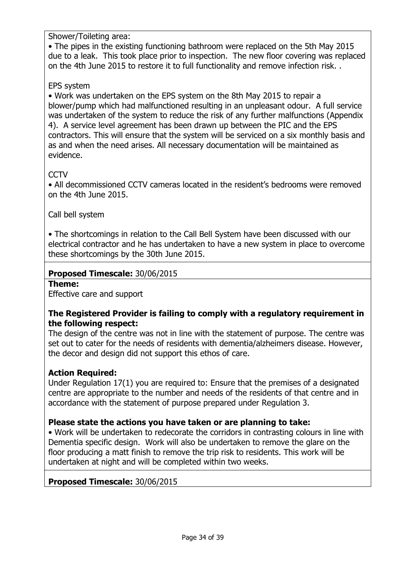Shower/Toileting area:

• The pipes in the existing functioning bathroom were replaced on the 5th May 2015 due to a leak. This took place prior to inspection. The new floor covering was replaced on the 4th June 2015 to restore it to full functionality and remove infection risk. .

# EPS system

• Work was undertaken on the EPS system on the 8th May 2015 to repair a blower/pump which had malfunctioned resulting in an unpleasant odour. A full service was undertaken of the system to reduce the risk of any further malfunctions (Appendix 4). A service level agreement has been drawn up between the PIC and the EPS contractors. This will ensure that the system will be serviced on a six monthly basis and as and when the need arises. All necessary documentation will be maintained as evidence.

# **CCTV**

• All decommissioned CCTV cameras located in the resident's bedrooms were removed on the 4th June 2015.

Call bell system

• The shortcomings in relation to the Call Bell System have been discussed with our electrical contractor and he has undertaken to have a new system in place to overcome these shortcomings by the 30th June 2015.

## Proposed Timescale: 30/06/2015

Theme:

Effective care and support

## The Registered Provider is failing to comply with a regulatory requirement in the following respect:

The design of the centre was not in line with the statement of purpose. The centre was set out to cater for the needs of residents with dementia/alzheimers disease. However, the decor and design did not support this ethos of care.

## Action Required:

Under Regulation 17(1) you are required to: Ensure that the premises of a designated centre are appropriate to the number and needs of the residents of that centre and in accordance with the statement of purpose prepared under Regulation 3.

# Please state the actions you have taken or are planning to take:

• Work will be undertaken to redecorate the corridors in contrasting colours in line with Dementia specific design. Work will also be undertaken to remove the glare on the floor producing a matt finish to remove the trip risk to residents. This work will be undertaken at night and will be completed within two weeks.

## Proposed Timescale: 30/06/2015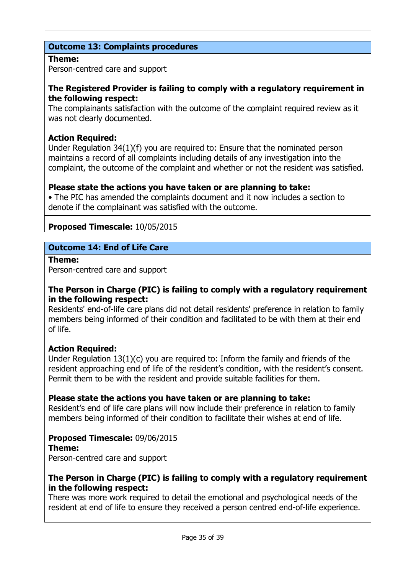# Outcome 13: Complaints procedures

#### Theme:

Person-centred care and support

## The Registered Provider is failing to comply with a regulatory requirement in the following respect:

The complainants satisfaction with the outcome of the complaint required review as it was not clearly documented.

## Action Required:

Under Regulation 34(1)(f) you are required to: Ensure that the nominated person maintains a record of all complaints including details of any investigation into the complaint, the outcome of the complaint and whether or not the resident was satisfied.

## Please state the actions you have taken or are planning to take:

• The PIC has amended the complaints document and it now includes a section to denote if the complainant was satisfied with the outcome.

## Proposed Timescale: 10/05/2015

## Outcome 14: End of Life Care

Theme:

Person-centred care and support

## The Person in Charge (PIC) is failing to comply with a regulatory requirement in the following respect:

Residents' end-of-life care plans did not detail residents' preference in relation to family members being informed of their condition and facilitated to be with them at their end of life.

## Action Required:

Under Regulation 13(1)(c) you are required to: Inform the family and friends of the resident approaching end of life of the resident's condition, with the resident's consent. Permit them to be with the resident and provide suitable facilities for them.

## Please state the actions you have taken or are planning to take:

Resident's end of life care plans will now include their preference in relation to family members being informed of their condition to facilitate their wishes at end of life.

# Proposed Timescale: 09/06/2015

#### Theme:

Person-centred care and support

## The Person in Charge (PIC) is failing to comply with a regulatory requirement in the following respect:

There was more work required to detail the emotional and psychological needs of the resident at end of life to ensure they received a person centred end-of-life experience.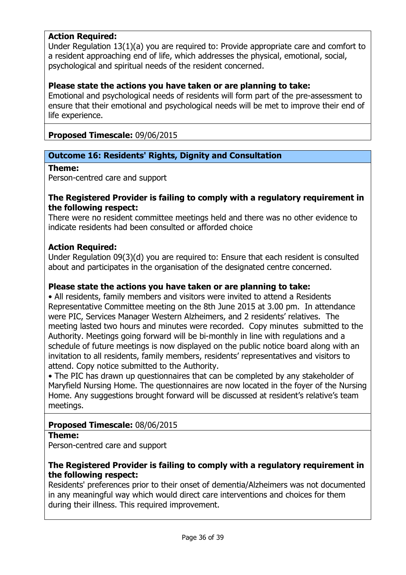## Action Required:

Under Regulation 13(1)(a) you are required to: Provide appropriate care and comfort to a resident approaching end of life, which addresses the physical, emotional, social, psychological and spiritual needs of the resident concerned.

### Please state the actions you have taken or are planning to take:

Emotional and psychological needs of residents will form part of the pre-assessment to ensure that their emotional and psychological needs will be met to improve their end of life experience.

## Proposed Timescale: 09/06/2015

### Outcome 16: Residents' Rights, Dignity and Consultation

#### Theme:

Person-centred care and support

#### The Registered Provider is failing to comply with a regulatory requirement in the following respect:

There were no resident committee meetings held and there was no other evidence to indicate residents had been consulted or afforded choice

#### Action Required:

Under Regulation 09(3)(d) you are required to: Ensure that each resident is consulted about and participates in the organisation of the designated centre concerned.

#### Please state the actions you have taken or are planning to take:

• All residents, family members and visitors were invited to attend a Residents Representative Committee meeting on the 8th June 2015 at 3.00 pm. In attendance were PIC, Services Manager Western Alzheimers, and 2 residents' relatives. The meeting lasted two hours and minutes were recorded. Copy minutes submitted to the Authority. Meetings going forward will be bi-monthly in line with regulations and a schedule of future meetings is now displayed on the public notice board along with an invitation to all residents, family members, residents' representatives and visitors to attend. Copy notice submitted to the Authority.

• The PIC has drawn up questionnaires that can be completed by any stakeholder of Maryfield Nursing Home. The questionnaires are now located in the foyer of the Nursing Home. Any suggestions brought forward will be discussed at resident's relative's team meetings.

#### Proposed Timescale: 08/06/2015

#### Theme:

Person-centred care and support

## The Registered Provider is failing to comply with a regulatory requirement in the following respect:

Residents' preferences prior to their onset of dementia/Alzheimers was not documented in any meaningful way which would direct care interventions and choices for them during their illness. This required improvement.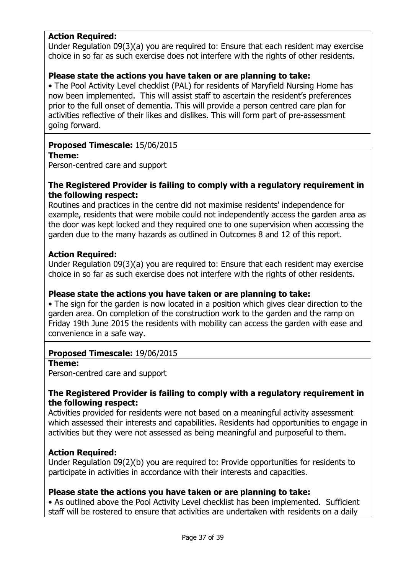## Action Required:

Under Regulation 09(3)(a) you are required to: Ensure that each resident may exercise choice in so far as such exercise does not interfere with the rights of other residents.

### Please state the actions you have taken or are planning to take:

• The Pool Activity Level checklist (PAL) for residents of Maryfield Nursing Home has now been implemented. This will assist staff to ascertain the resident's preferences prior to the full onset of dementia. This will provide a person centred care plan for activities reflective of their likes and dislikes. This will form part of pre-assessment going forward.

### Proposed Timescale: 15/06/2015

#### Theme:

Person-centred care and support

### The Registered Provider is failing to comply with a regulatory requirement in the following respect:

Routines and practices in the centre did not maximise residents' independence for example, residents that were mobile could not independently access the garden area as the door was kept locked and they required one to one supervision when accessing the garden due to the many hazards as outlined in Outcomes 8 and 12 of this report.

### Action Required:

Under Regulation 09(3)(a) you are required to: Ensure that each resident may exercise choice in so far as such exercise does not interfere with the rights of other residents.

## Please state the actions you have taken or are planning to take:

• The sign for the garden is now located in a position which gives clear direction to the garden area. On completion of the construction work to the garden and the ramp on Friday 19th June 2015 the residents with mobility can access the garden with ease and convenience in a safe way.

#### Proposed Timescale: 19/06/2015

#### Theme:

Person-centred care and support

### The Registered Provider is failing to comply with a regulatory requirement in the following respect:

Activities provided for residents were not based on a meaningful activity assessment which assessed their interests and capabilities. Residents had opportunities to engage in activities but they were not assessed as being meaningful and purposeful to them.

#### **Action Required:**

Under Regulation 09(2)(b) you are required to: Provide opportunities for residents to participate in activities in accordance with their interests and capacities.

#### Please state the actions you have taken or are planning to take:

• As outlined above the Pool Activity Level checklist has been implemented. Sufficient staff will be rostered to ensure that activities are undertaken with residents on a daily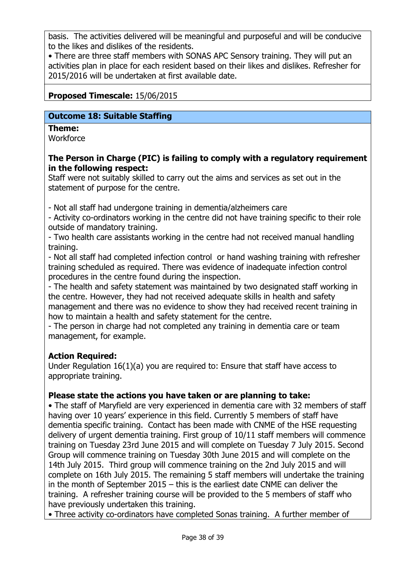basis. The activities delivered will be meaningful and purposeful and will be conducive to the likes and dislikes of the residents.

• There are three staff members with SONAS APC Sensory training. They will put an activities plan in place for each resident based on their likes and dislikes. Refresher for 2015/2016 will be undertaken at first available date.

## Proposed Timescale: 15/06/2015

### Outcome 18: Suitable Staffing

## Theme:

**Workforce** 

## The Person in Charge (PIC) is failing to comply with a regulatory requirement in the following respect:

Staff were not suitably skilled to carry out the aims and services as set out in the statement of purpose for the centre.

- Not all staff had undergone training in dementia/alzheimers care

- Activity co-ordinators working in the centre did not have training specific to their role outside of mandatory training.

- Two health care assistants working in the centre had not received manual handling training.

- Not all staff had completed infection control or hand washing training with refresher training scheduled as required. There was evidence of inadequate infection control procedures in the centre found during the inspection.

- The health and safety statement was maintained by two designated staff working in the centre. However, they had not received adequate skills in health and safety management and there was no evidence to show they had received recent training in how to maintain a health and safety statement for the centre.

- The person in charge had not completed any training in dementia care or team management, for example.

# Action Required:

Under Regulation 16(1)(a) you are required to: Ensure that staff have access to appropriate training.

## Please state the actions you have taken or are planning to take:

• The staff of Maryfield are very experienced in dementia care with 32 members of staff having over 10 years' experience in this field. Currently 5 members of staff have dementia specific training. Contact has been made with CNME of the HSE requesting delivery of urgent dementia training. First group of 10/11 staff members will commence training on Tuesday 23rd June 2015 and will complete on Tuesday 7 July 2015. Second Group will commence training on Tuesday 30th June 2015 and will complete on the 14th July 2015. Third group will commence training on the 2nd July 2015 and will complete on 16th July 2015. The remaining 5 staff members will undertake the training in the month of September 2015 – this is the earliest date CNME can deliver the training. A refresher training course will be provided to the 5 members of staff who have previously undertaken this training.

• Three activity co-ordinators have completed Sonas training. A further member of